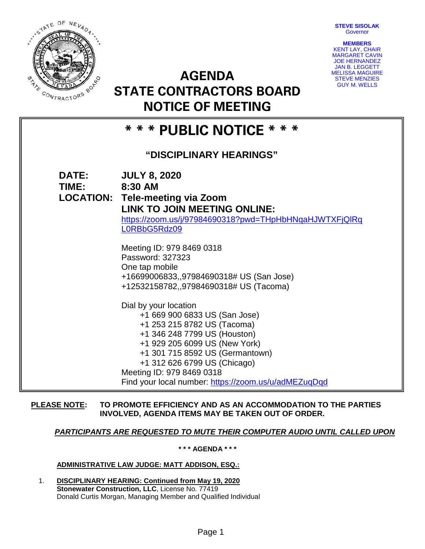**STEVE SISOLAK Governor** 



**AGENDA STATE CONTRACTORS BOARD NOTICE OF MEETING**



# **\* \* \* PUBLIC NOTICE \* \* \***

## **"DISCIPLINARY HEARINGS"**

| <b>DATE:</b><br>TIME: | <b>JULY 8, 2020</b><br>8:30 AM<br><b>LOCATION: Tele-meeting via Zoom</b><br><b>LINK TO JOIN MEETING ONLINE:</b><br>https://zoom.us/j/97984690318?pwd=THpHbHNqaHJWTXFjQlRq<br>L0RBbG5Rdz09                                                                                                                      |
|-----------------------|----------------------------------------------------------------------------------------------------------------------------------------------------------------------------------------------------------------------------------------------------------------------------------------------------------------|
|                       | Meeting ID: 979 8469 0318<br>Password: 327323<br>One tap mobile<br>+16699006833,,97984690318# US (San Jose)<br>+12532158782,,97984690318# US (Tacoma)                                                                                                                                                          |
|                       | Dial by your location<br>+1 669 900 6833 US (San Jose)<br>+1 253 215 8782 US (Tacoma)<br>+1 346 248 7799 US (Houston)<br>+1 929 205 6099 US (New York)<br>+1 301 715 8592 US (Germantown)<br>+1 312 626 6799 US (Chicago)<br>Meeting ID: 979 8469 0318<br>Find your local number: https://zoom.us/u/adMEZuqDqd |

### **PLEASE NOTE: TO PROMOTE EFFICIENCY AND AS AN ACCOMMODATION TO THE PARTIES INVOLVED, AGENDA ITEMS MAY BE TAKEN OUT OF ORDER.**

## *PARTICIPANTS ARE REQUESTED TO MUTE THEIR COMPUTER AUDIO UNTIL CALLED UPON*

**\* \* \* AGENDA \* \* \***

#### **ADMINISTRATIVE LAW JUDGE: MATT ADDISON, ESQ.:**

1. **DISCIPLINARY HEARING: Continued from May 19, 2020 Stonewater Construction, LLC**, License No. 77419 Donald Curtis Morgan, Managing Member and Qualified Individual